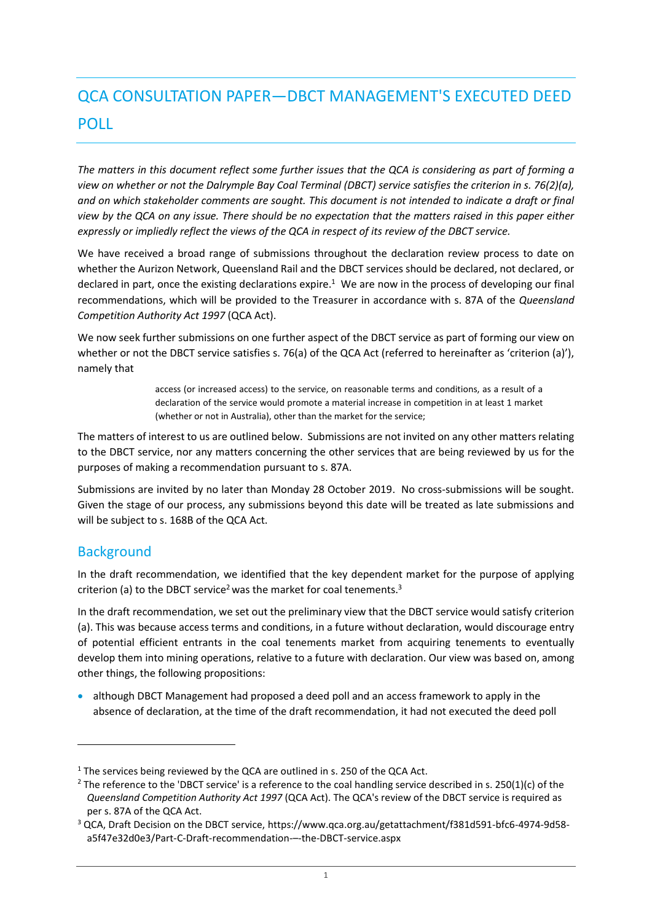# QCA CONSULTATION PAPER—DBCT MANAGEMENT'S EXECUTED DEED POLL

*The matters in this document reflect some further issues that the QCA is considering as part of forming a view on whether or not the Dalrymple Bay Coal Terminal (DBCT) service satisfies the criterion in s. 76(2)(a), and on which stakeholder comments are sought. This document is not intended to indicate a draft or final view by the QCA on any issue. There should be no expectation that the matters raised in this paper either expressly or impliedly reflect the views of the QCA in respect of its review of the DBCT service.*

We have received a broad range of submissions throughout the declaration review process to date on whether the Aurizon Network, Queensland Rail and the DBCT services should be declared, not declared, or declared in part, once the existing declarations expire.<sup>1</sup> We are now in the process of developing our final recommendations, which will be provided to the Treasurer in accordance with s. 87A of the *Queensland Competition Authority Act 1997* (QCA Act).

We now seek further submissions on one further aspect of the DBCT service as part of forming our view on whether or not the DBCT service satisfies s. 76(a) of the QCA Act (referred to hereinafter as 'criterion (a)'), namely that

> access (or increased access) to the service, on reasonable terms and conditions, as a result of a declaration of the service would promote a material increase in competition in at least 1 market (whether or not in Australia), other than the market for the service;

The matters of interest to us are outlined below. Submissions are not invited on any other matters relating to the DBCT service, nor any matters concerning the other services that are being reviewed by us for the purposes of making a recommendation pursuant to s. 87A.

Submissions are invited by no later than Monday 28 October 2019. No cross-submissions will be sought. Given the stage of our process, any submissions beyond this date will be treated as late submissions and will be subject to s. 168B of the QCA Act.

## **Background**

 $\overline{a}$ 

In the draft recommendation, we identified that the key dependent market for the purpose of applying criterion (a) to the DBCT service<sup>2</sup> was the market for coal tenements.<sup>3</sup>

In the draft recommendation, we set out the preliminary view that the DBCT service would satisfy criterion (a). This was because access terms and conditions, in a future without declaration, would discourage entry of potential efficient entrants in the coal tenements market from acquiring tenements to eventually develop them into mining operations, relative to a future with declaration. Our view was based on, among other things, the following propositions:

• although DBCT Management had proposed a deed poll and an access framework to apply in the absence of declaration, at the time of the draft recommendation, it had not executed the deed poll

<sup>&</sup>lt;sup>1</sup> The services being reviewed by the QCA are outlined in s. 250 of the QCA Act.

<sup>&</sup>lt;sup>2</sup> The reference to the 'DBCT service' is a reference to the coal handling service described in s. 250(1)(c) of the *Queensland Competition Authority Act 1997* (QCA Act). The QCA's review of the DBCT service is required as per s. 87A of the QCA Act.

<sup>3</sup> QCA, Draft Decision on the DBCT service, https://www.qca.org.au/getattachment/f381d591-bfc6-4974-9d58 a5f47e32d0e3/Part-C-Draft-recommendation-–-the-DBCT-service.aspx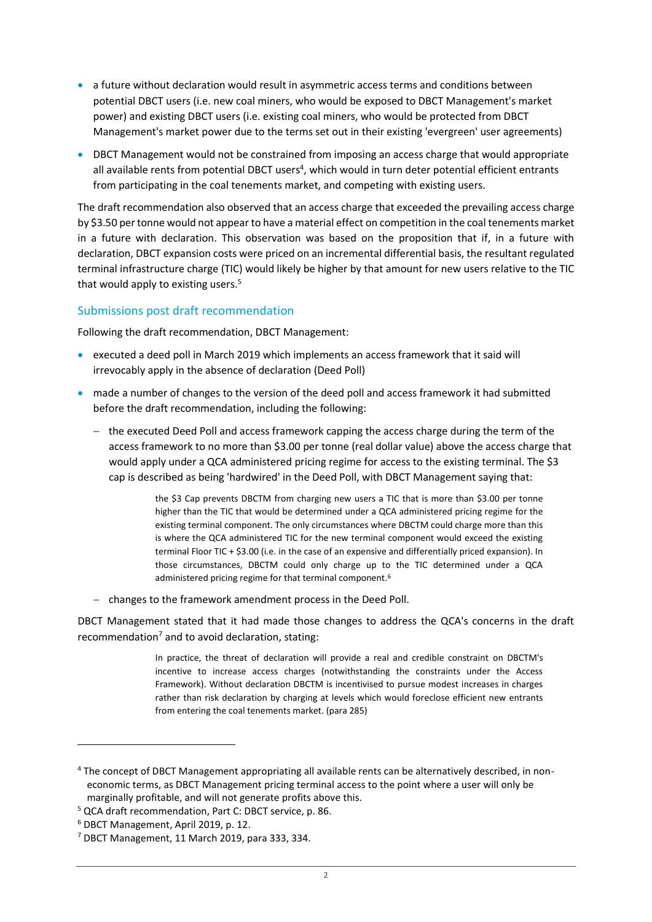- a future without declaration would result in asymmetric access terms and conditions between potential DBCT users (i.e. new coal miners, who would be exposed to DBCT Management's market power) and existing DBCT users (i.e. existing coal miners, who would be protected from DBCT Management's market power due to the terms set out in their existing 'evergreen' user agreements)
- DBCT Management would not be constrained from imposing an access charge that would appropriate all available rents from potential DBCT users<sup>4</sup>, which would in turn deter potential efficient entrants from participating in the coal tenements market, and competing with existing users.

The draft recommendation also observed that an access charge that exceeded the prevailing access charge by \$3.50 per tonne would not appear to have a material effect on competition in the coal tenements market in a future with declaration. This observation was based on the proposition that if, in a future with declaration, DBCT expansion costs were priced on an incremental differential basis, the resultant regulated terminal infrastructure charge (TIC) would likely be higher by that amount for new users relative to the TIC that would apply to existing users.<sup>5</sup>

#### Submissions post draft recommendation

Following the draft recommendation, DBCT Management:

- executed a deed poll in March 2019 which implements an access framework that it said will irrevocably apply in the absence of declaration (Deed Poll)
- made a number of changes to the version of the deed poll and access framework it had submitted before the draft recommendation, including the following:
	- the executed Deed Poll and access framework capping the access charge during the term of the access framework to no more than \$3.00 per tonne (real dollar value) above the access charge that would apply under a QCA administered pricing regime for access to the existing terminal. The \$3 cap is described as being 'hardwired' in the Deed Poll, with DBCT Management saying that:

the \$3 Cap prevents DBCTM from charging new users a TIC that is more than \$3.00 per tonne higher than the TIC that would be determined under a QCA administered pricing regime for the existing terminal component. The only circumstances where DBCTM could charge more than this is where the QCA administered TIC for the new terminal component would exceed the existing terminal Floor TIC + \$3.00 (i.e. in the case of an expensive and differentially priced expansion). In those circumstances, DBCTM could only charge up to the TIC determined under a QCA administered pricing regime for that terminal component.<sup>6</sup>

- changes to the framework amendment process in the Deed Poll.

DBCT Management stated that it had made those changes to address the QCA's concerns in the draft recommendation<sup>7</sup> and to avoid declaration, stating:

> In practice, the threat of declaration will provide a real and credible constraint on DBCTM's incentive to increase access charges (notwithstanding the constraints under the Access Framework). Without declaration DBCTM is incentivised to pursue modest increases in charges rather than risk declaration by charging at levels which would foreclose efficient new entrants from entering the coal tenements market. (para 285)

 $\overline{a}$ 

<sup>4</sup> The concept of DBCT Management appropriating all available rents can be alternatively described, in noneconomic terms, as DBCT Management pricing terminal access to the point where a user will only be marginally profitable, and will not generate profits above this.

<sup>5</sup> QCA draft recommendation, Part C: DBCT service, p. 86.

<sup>6</sup> DBCT Management, April 2019, p. 12.

<sup>7</sup> DBCT Management, 11 March 2019, para 333, 334.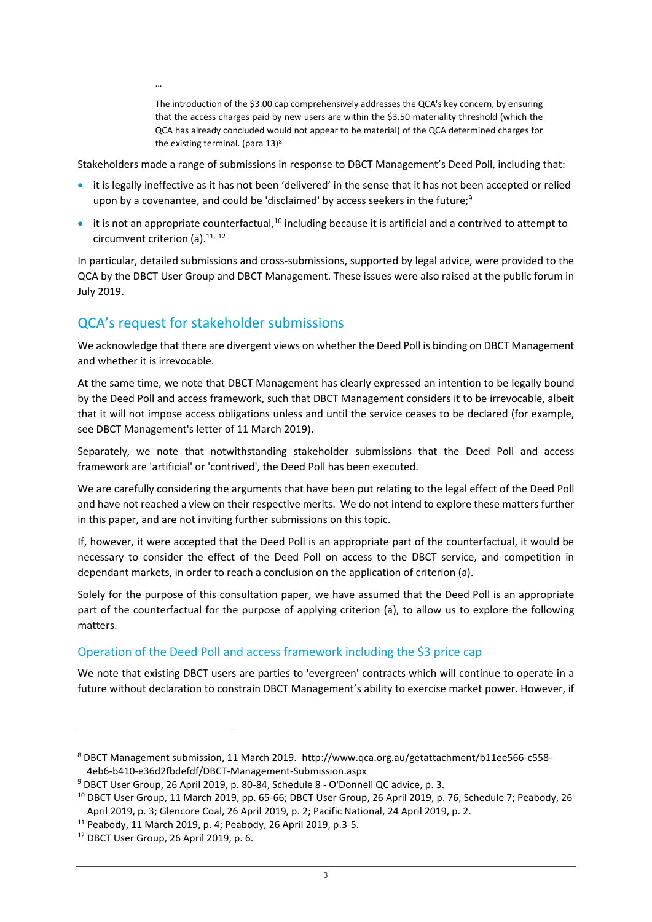The introduction of the \$3.00 cap comprehensively addresses the QCA's key concern, by ensuring that the access charges paid by new users are within the \$3.50 materiality threshold (which the QCA has already concluded would not appear to be material) of the QCA determined charges for the existing terminal. (para 13)<sup>8</sup>

Stakeholders made a range of submissions in response to DBCT Management's Deed Poll, including that:

- it is legally ineffective as it has not been 'delivered' in the sense that it has not been accepted or relied upon by a covenantee, and could be 'disclaimed' by access seekers in the future;<sup>9</sup>
- $\bullet$  it is not an appropriate counterfactual,<sup>10</sup> including because it is artificial and a contrived to attempt to circumvent criterion (a).<sup>11, 12</sup>

In particular, detailed submissions and cross-submissions, supported by legal advice, were provided to the QCA by the DBCT User Group and DBCT Management. These issues were also raised at the public forum in July 2019.

## QCA's request for stakeholder submissions

…

We acknowledge that there are divergent views on whether the Deed Poll is binding on DBCT Management and whether it is irrevocable.

At the same time, we note that DBCT Management has clearly expressed an intention to be legally bound by the Deed Poll and access framework, such that DBCT Management considers it to be irrevocable, albeit that it will not impose access obligations unless and until the service ceases to be declared (for example, see DBCT Management's letter of 11 March 2019).

Separately, we note that notwithstanding stakeholder submissions that the Deed Poll and access framework are 'artificial' or 'contrived', the Deed Poll has been executed.

We are carefully considering the arguments that have been put relating to the legal effect of the Deed Poll and have not reached a view on their respective merits. We do not intend to explore these matters further in this paper, and are not inviting further submissions on this topic.

If, however, it were accepted that the Deed Poll is an appropriate part of the counterfactual, it would be necessary to consider the effect of the Deed Poll on access to the DBCT service, and competition in dependant markets, in order to reach a conclusion on the application of criterion (a).

Solely for the purpose of this consultation paper, we have assumed that the Deed Poll is an appropriate part of the counterfactual for the purpose of applying criterion (a), to allow us to explore the following matters.

### Operation of the Deed Poll and access framework including the \$3 price cap

We note that existing DBCT users are parties to 'evergreen' contracts which will continue to operate in a future without declaration to constrain DBCT Management's ability to exercise market power. However, if

 $\overline{a}$ 

<sup>8</sup> DBCT Management submission, 11 March 2019. [http://www.qca.org.au/getattachment/b11ee566-c558-](http://www.qca.org.au/getattachment/b11ee566-c558-4eb6-b410-e36d2fbdefdf/DBCT-Management-Submission.aspx) [4eb6-b410-e36d2fbdefdf/DBCT-Management-Submission.aspx](http://www.qca.org.au/getattachment/b11ee566-c558-4eb6-b410-e36d2fbdefdf/DBCT-Management-Submission.aspx)

<sup>9</sup> DBCT User Group, 26 April 2019, p. 80-84, Schedule 8 - O'Donnell QC advice, p. 3.

<sup>10</sup> DBCT User Group, 11 March 2019, pp. 65-66; DBCT User Group, 26 April 2019, p. 76, Schedule 7; Peabody, 26 April 2019, p. 3; Glencore Coal, 26 April 2019, p. 2; Pacific National, 24 April 2019, p. 2.

<sup>11</sup> Peabody, 11 March 2019, p. 4; Peabody, 26 April 2019, p.3-5.

<sup>12</sup> DBCT User Group, 26 April 2019, p. 6.